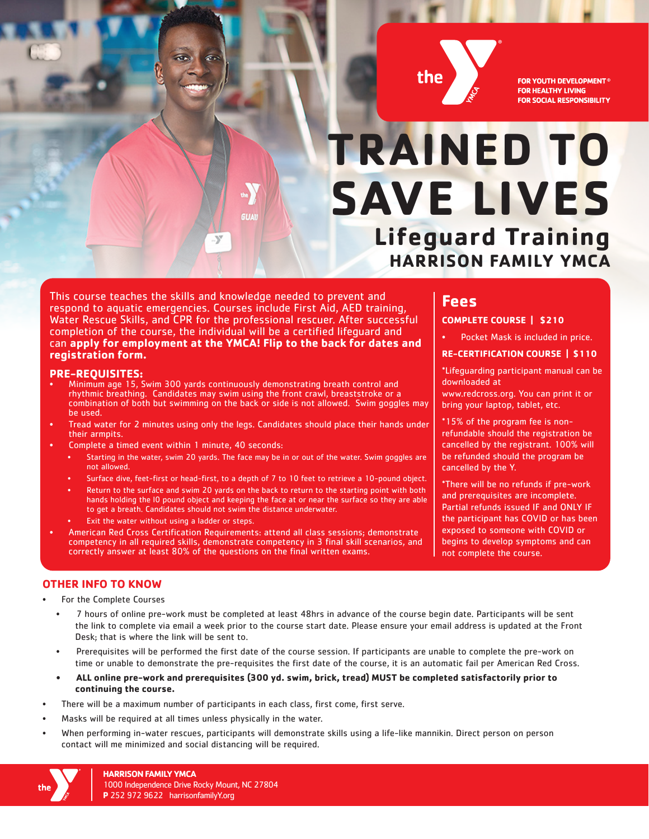

**FOR YOUTH DEVELOPMENT® FOR HEALTHY LIVING FOR SOCIAL RESPONSIBILITY** 

# **TRAINED TO SAVE LIVES Lifeguard Training HARRISON FAMILY YMCA**

This course teaches the skills and knowledge needed to prevent and respond to aquatic emergencies. Courses include First Aid, AED training, Water Rescue Skills, and CPR for the professional rescuer. After successful completion of the course, the individual will be a certified lifeguard and can **apply for employment at the YMCA! Flip to the back for dates and registration form.** 

**GUAN** 

#### **PRE-REQUISITES:**

- Minimum age 15, Swim 300 yards continuously demonstrating breath control and rhythmic breathing. Candidates may swim using the front crawl, breaststroke or a combination of both but swimming on the back or side is not allowed. Swim goggles may be used.
- Tread water for 2 minutes using only the legs. Candidates should place their hands under their armpits.
- Complete a timed event within 1 minute, 40 seconds:
	- Starting in the water, swim 20 yards. The face may be in or out of the water. Swim goggles are not allowed.
	- Surface dive, feet-first or head-first, to a depth of 7 to 10 feet to retrieve a 10-pound object.
	- Return to the surface and swim 20 yards on the back to return to the starting point with both hands holding the l0 pound object and keeping the face at or near the surface so they are able to get a breath. Candidates should not swim the distance underwater.
	- Exit the water without using a ladder or steps.
- American Red Cross Certification Requirements: attend all class sessions; demonstrate competency in all required skills, demonstrate competency in 3 final skill scenarios, and correctly answer at least 80% of the questions on the final written exams.

## **Fees**

### **COMPLETE COURSE | \$210**

Pocket Mask is included in price.

#### **RE-CERTIFICATION COURSE | \$110**

\*Lifeguarding participant manual can be downloaded at

www.redcross.org. You can print it or bring your laptop, tablet, etc.

\*15% of the program fee is nonrefundable should the registration be cancelled by the registrant. 100% will be refunded should the program be cancelled by the Y.

\*There will be no refunds if pre-work and prerequisites are incomplete. Partial refunds issued IF and ONLY IF the participant has COVID or has been exposed to someone with COVID or begins to develop symptoms and can not complete the course.

#### **OTHER INFO TO KNOW**

- For the Complete Courses
	- 7 hours of online pre-work must be completed at least 48hrs in advance of the course begin date. Participants will be sent the link to complete via email a week prior to the course start date. Please ensure your email address is updated at the Front Desk; that is where the link will be sent to.
	- Prerequisites will be performed the first date of the course session. If participants are unable to complete the pre-work on time or unable to demonstrate the pre-requisites the first date of the course, it is an automatic fail per American Red Cross.
	- **• ALL online pre-work and prerequisites (300 yd. swim, brick, tread) MUST be completed satisfactorily prior to continuing the course.**
- There will be a maximum number of participants in each class, first come, first serve.
- Masks will be required at all times unless physically in the water.
- When performing in-water rescues, participants will demonstrate skills using a life-like mannikin. Direct person on person contact will me minimized and social distancing will be required.

**HARRISON FAMILY YMCA** 1000 Independence Drive Rocky Mount, NC 27804 **P** 252 972 9622 harrisonfamilyY.org